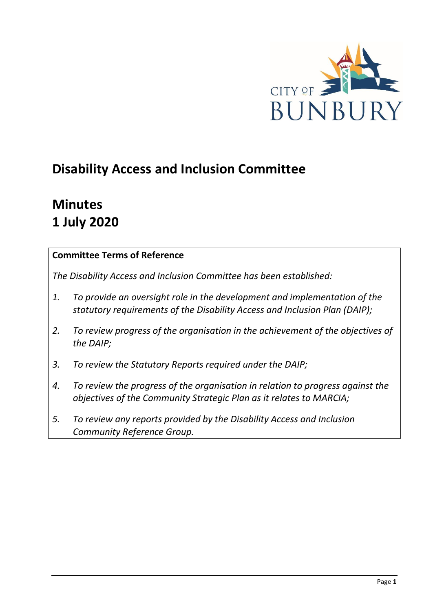

# **Disability Access and Inclusion Committee**

# **Minutes 1 July 2020**

## **Committee Terms of Reference**

*The Disability Access and Inclusion Committee has been established:* 

- *1. To provide an oversight role in the development and implementation of the statutory requirements of the Disability Access and Inclusion Plan (DAIP);*
- *2. To review progress of the organisation in the achievement of the objectives of the DAIP;*
- *3. To review the Statutory Reports required under the DAIP;*
- *4. To review the progress of the organisation in relation to progress against the objectives of the Community Strategic Plan as it relates to MARCIA;*
- *5. To review any reports provided by the Disability Access and Inclusion Community Reference Group.*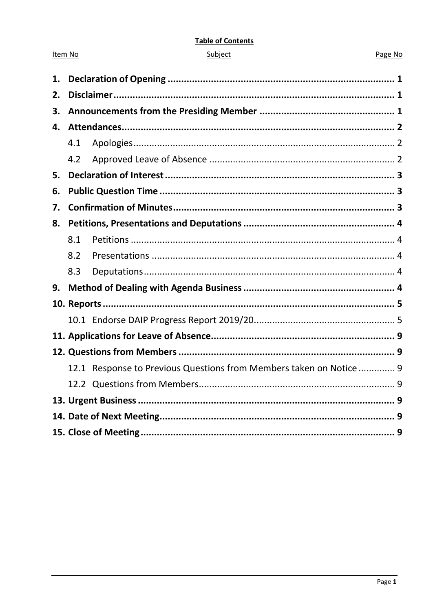#### **Table of Contents**

| ubie |  |
|------|--|
|      |  |
|      |  |

Item No

#### Page No

| 1. |     |                                                                     |  |
|----|-----|---------------------------------------------------------------------|--|
| 2. |     |                                                                     |  |
| 3. |     |                                                                     |  |
| 4. |     |                                                                     |  |
|    | 4.1 |                                                                     |  |
|    | 4.2 |                                                                     |  |
| 5. |     |                                                                     |  |
| 6. |     |                                                                     |  |
| 7. |     |                                                                     |  |
| 8. |     |                                                                     |  |
|    | 8.1 |                                                                     |  |
|    | 8.2 |                                                                     |  |
|    | 8.3 |                                                                     |  |
| 9. |     |                                                                     |  |
|    |     |                                                                     |  |
|    |     |                                                                     |  |
|    |     |                                                                     |  |
|    |     |                                                                     |  |
|    |     | 12.1 Response to Previous Questions from Members taken on Notice  9 |  |
|    |     |                                                                     |  |
|    |     |                                                                     |  |
|    |     |                                                                     |  |
|    |     |                                                                     |  |
|    |     |                                                                     |  |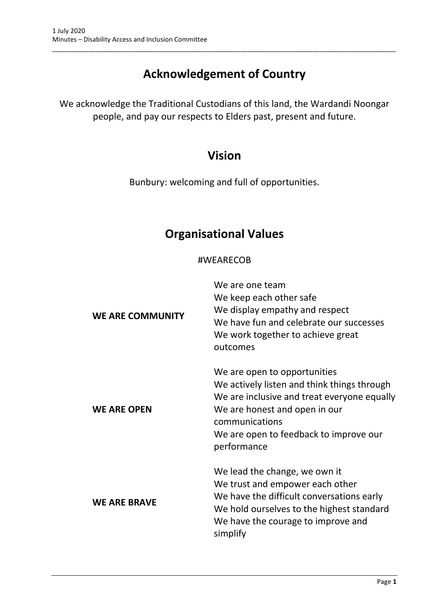## **Acknowledgement of Country**

\_\_\_\_\_\_\_\_\_\_\_\_\_\_\_\_\_\_\_\_\_\_\_\_\_\_\_\_\_\_\_\_\_\_\_\_\_\_\_\_\_\_\_\_\_\_\_\_\_\_\_\_\_\_\_\_\_\_\_\_\_\_\_\_\_\_\_\_\_\_\_\_\_\_\_\_\_\_\_\_\_\_\_\_\_\_\_\_\_\_\_\_\_\_\_

We acknowledge the Traditional Custodians of this land, the Wardandi Noongar people, and pay our respects to Elders past, present and future.

## **Vision**

Bunbury: welcoming and full of opportunities.

## **Organisational Values**

## #WEARECOB

| <b>WE ARE COMMUNITY</b> | We are one team<br>We keep each other safe<br>We display empathy and respect<br>We have fun and celebrate our successes<br>We work together to achieve great<br>outcomes                                                               |
|-------------------------|----------------------------------------------------------------------------------------------------------------------------------------------------------------------------------------------------------------------------------------|
| <b>WE ARE OPEN</b>      | We are open to opportunities<br>We actively listen and think things through<br>We are inclusive and treat everyone equally<br>We are honest and open in our<br>communications<br>We are open to feedback to improve our<br>performance |
| <b>WE ARE BRAVE</b>     | We lead the change, we own it<br>We trust and empower each other<br>We have the difficult conversations early<br>We hold ourselves to the highest standard<br>We have the courage to improve and<br>simplify                           |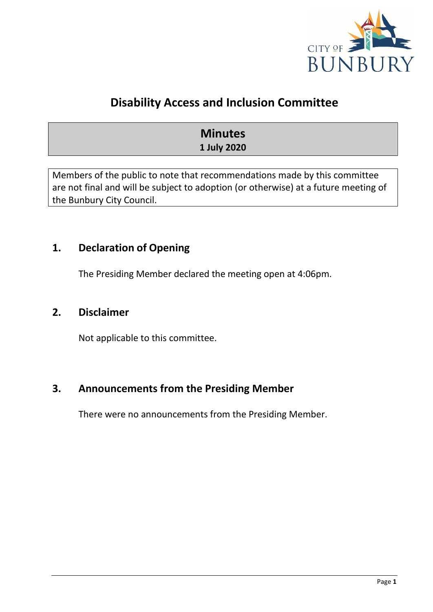

## **Disability Access and Inclusion Committee**

## **Minutes 1 July 2020**

Members of the public to note that recommendations made by this committee are not final and will be subject to adoption (or otherwise) at a future meeting of the Bunbury City Council.

## <span id="page-3-0"></span>**1. Declaration of Opening**

The Presiding Member declared the meeting open at 4:06pm.

## <span id="page-3-1"></span>**2. Disclaimer**

Not applicable to this committee.

## <span id="page-3-2"></span>**3. Announcements from the Presiding Member**

There were no announcements from the Presiding Member.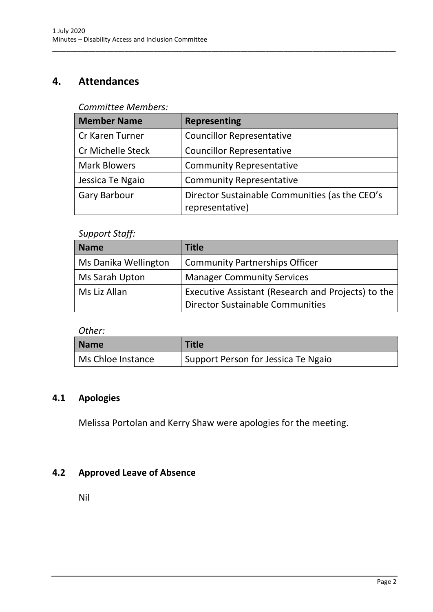## <span id="page-4-0"></span>**4. Attendances**

### *Committee Members:*

| <b>Member Name</b>       | <b>Representing</b>                                               |
|--------------------------|-------------------------------------------------------------------|
| <b>Cr Karen Turner</b>   | <b>Councillor Representative</b>                                  |
| <b>Cr Michelle Steck</b> | <b>Councillor Representative</b>                                  |
| <b>Mark Blowers</b>      | <b>Community Representative</b>                                   |
| Jessica Te Ngaio         | <b>Community Representative</b>                                   |
| <b>Gary Barbour</b>      | Director Sustainable Communities (as the CEO's<br>representative) |

\_\_\_\_\_\_\_\_\_\_\_\_\_\_\_\_\_\_\_\_\_\_\_\_\_\_\_\_\_\_\_\_\_\_\_\_\_\_\_\_\_\_\_\_\_\_\_\_\_\_\_\_\_\_\_\_\_\_\_\_\_\_\_\_\_\_\_\_\_\_\_\_\_\_\_\_\_\_\_\_\_\_\_\_\_\_\_\_\_\_\_\_\_\_\_

### *Support Staff:*

| <b>Name</b>          | <b>Title</b>                                       |
|----------------------|----------------------------------------------------|
| Ms Danika Wellington | <b>Community Partnerships Officer</b>              |
| Ms Sarah Upton       | <b>Manager Community Services</b>                  |
| Ms Liz Allan         | Executive Assistant (Research and Projects) to the |
|                      | <b>Director Sustainable Communities</b>            |

*Other:*

| <b>Name</b>       | <b>Title</b>                        |
|-------------------|-------------------------------------|
| Ms Chloe Instance | Support Person for Jessica Te Ngaio |

## <span id="page-4-1"></span>**4.1 Apologies**

Melissa Portolan and Kerry Shaw were apologies for the meeting.

## <span id="page-4-2"></span>**4.2 Approved Leave of Absence**

Nil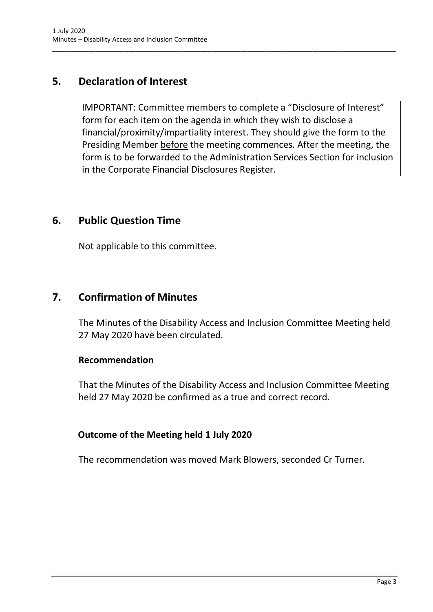## <span id="page-5-0"></span>**5. Declaration of Interest**

IMPORTANT: Committee members to complete a "Disclosure of Interest" form for each item on the agenda in which they wish to disclose a financial/proximity/impartiality interest. They should give the form to the Presiding Member before the meeting commences. After the meeting, the form is to be forwarded to the Administration Services Section for inclusion in the Corporate Financial Disclosures Register.

\_\_\_\_\_\_\_\_\_\_\_\_\_\_\_\_\_\_\_\_\_\_\_\_\_\_\_\_\_\_\_\_\_\_\_\_\_\_\_\_\_\_\_\_\_\_\_\_\_\_\_\_\_\_\_\_\_\_\_\_\_\_\_\_\_\_\_\_\_\_\_\_\_\_\_\_\_\_\_\_\_\_\_\_\_\_\_\_\_\_\_\_\_\_\_

## <span id="page-5-1"></span>**6. Public Question Time**

Not applicable to this committee.

## <span id="page-5-2"></span>**7. Confirmation of Minutes**

The Minutes of the Disability Access and Inclusion Committee Meeting held 27 May 2020 have been circulated.

### **Recommendation**

That the Minutes of the Disability Access and Inclusion Committee Meeting held 27 May 2020 be confirmed as a true and correct record.

## **Outcome of the Meeting held 1 July 2020**

The recommendation was moved Mark Blowers, seconded Cr Turner.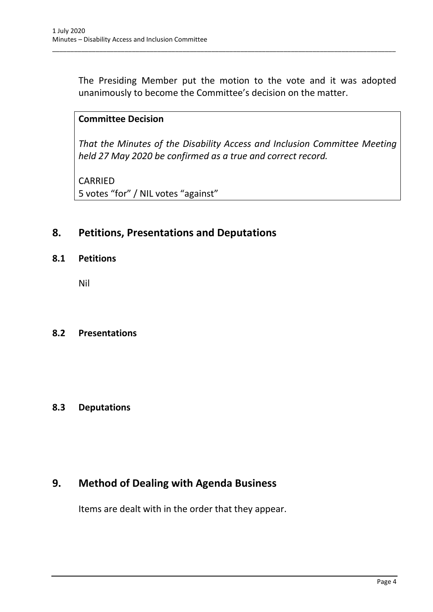The Presiding Member put the motion to the vote and it was adopted unanimously to become the Committee's decision on the matter.

\_\_\_\_\_\_\_\_\_\_\_\_\_\_\_\_\_\_\_\_\_\_\_\_\_\_\_\_\_\_\_\_\_\_\_\_\_\_\_\_\_\_\_\_\_\_\_\_\_\_\_\_\_\_\_\_\_\_\_\_\_\_\_\_\_\_\_\_\_\_\_\_\_\_\_\_\_\_\_\_\_\_\_\_\_\_\_\_\_\_\_\_\_\_\_

## **Committee Decision**

*That the Minutes of the Disability Access and Inclusion Committee Meeting held 27 May 2020 be confirmed as a true and correct record.*

CARRIED 5 votes "for" / NIL votes "against"

## <span id="page-6-0"></span>**8. Petitions, Presentations and Deputations**

<span id="page-6-1"></span>**8.1 Petitions**

Nil

### <span id="page-6-2"></span>**8.2 Presentations**

## <span id="page-6-3"></span>**8.3 Deputations**

## <span id="page-6-4"></span>**9. Method of Dealing with Agenda Business**

Items are dealt with in the order that they appear.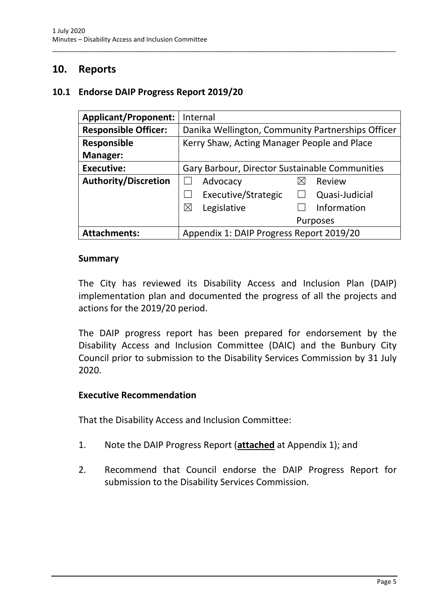## <span id="page-7-0"></span>**10. Reports**

### <span id="page-7-1"></span>**10.1 Endorse DAIP Progress Report 2019/20**

| <b>Applicant/Proponent:</b> | Internal                                          |
|-----------------------------|---------------------------------------------------|
| <b>Responsible Officer:</b> | Danika Wellington, Community Partnerships Officer |
| <b>Responsible</b>          | Kerry Shaw, Acting Manager People and Place       |
| <b>Manager:</b>             |                                                   |
| <b>Executive:</b>           | Gary Barbour, Director Sustainable Communities    |
| <b>Authority/Discretion</b> | Advocacy<br>Review<br>IХ                          |
|                             | Executive/Strategic<br>Quasi-Judicial             |
|                             | Legislative<br>Information<br>$\boxtimes$         |
|                             | <b>Purposes</b>                                   |
| <b>Attachments:</b>         | Appendix 1: DAIP Progress Report 2019/20          |

\_\_\_\_\_\_\_\_\_\_\_\_\_\_\_\_\_\_\_\_\_\_\_\_\_\_\_\_\_\_\_\_\_\_\_\_\_\_\_\_\_\_\_\_\_\_\_\_\_\_\_\_\_\_\_\_\_\_\_\_\_\_\_\_\_\_\_\_\_\_\_\_\_\_\_\_\_\_\_\_\_\_\_\_\_\_\_\_\_\_\_\_\_\_\_

#### **Summary**

The City has reviewed its Disability Access and Inclusion Plan (DAIP) implementation plan and documented the progress of all the projects and actions for the 2019/20 period.

The DAIP progress report has been prepared for endorsement by the Disability Access and Inclusion Committee (DAIC) and the Bunbury City Council prior to submission to the Disability Services Commission by 31 July 2020.

### **Executive Recommendation**

That the Disability Access and Inclusion Committee:

- 1. Note the DAIP Progress Report (**attached** at Appendix 1); and
- 2. Recommend that Council endorse the DAIP Progress Report for submission to the Disability Services Commission.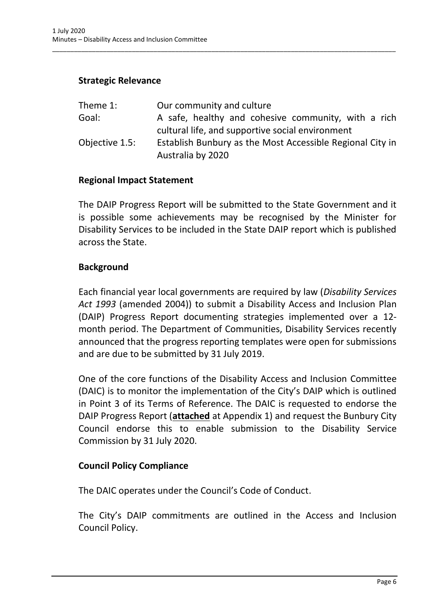### **Strategic Relevance**

| Theme 1:       | Our community and culture                                 |
|----------------|-----------------------------------------------------------|
| Goal:          | A safe, healthy and cohesive community, with a rich       |
|                | cultural life, and supportive social environment          |
| Objective 1.5: | Establish Bunbury as the Most Accessible Regional City in |
|                | Australia by 2020                                         |

\_\_\_\_\_\_\_\_\_\_\_\_\_\_\_\_\_\_\_\_\_\_\_\_\_\_\_\_\_\_\_\_\_\_\_\_\_\_\_\_\_\_\_\_\_\_\_\_\_\_\_\_\_\_\_\_\_\_\_\_\_\_\_\_\_\_\_\_\_\_\_\_\_\_\_\_\_\_\_\_\_\_\_\_\_\_\_\_\_\_\_\_\_\_\_

### **Regional Impact Statement**

The DAIP Progress Report will be submitted to the State Government and it is possible some achievements may be recognised by the Minister for Disability Services to be included in the State DAIP report which is published across the State.

### **Background**

Each financial year local governments are required by law (*Disability Services Act 1993* (amended 2004)) to submit a Disability Access and Inclusion Plan (DAIP) Progress Report documenting strategies implemented over a 12 month period. The Department of Communities, Disability Services recently announced that the progress reporting templates were open for submissions and are due to be submitted by 31 July 2019.

One of the core functions of the Disability Access and Inclusion Committee (DAIC) is to monitor the implementation of the City's DAIP which is outlined in Point 3 of its Terms of Reference. The DAIC is requested to endorse the DAIP Progress Report (**attached** at Appendix 1) and request the Bunbury City Council endorse this to enable submission to the Disability Service Commission by 31 July 2020.

### **Council Policy Compliance**

The DAIC operates under the Council's Code of Conduct.

The City's DAIP commitments are outlined in the Access and Inclusion Council Policy.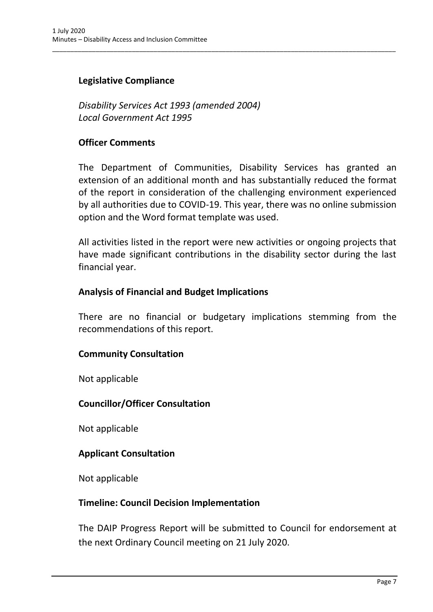## **Legislative Compliance**

*Disability Services Act 1993 (amended 2004) Local Government Act 1995*

#### **Officer Comments**

The Department of Communities, Disability Services has granted an extension of an additional month and has substantially reduced the format of the report in consideration of the challenging environment experienced by all authorities due to COVID-19. This year, there was no online submission option and the Word format template was used.

\_\_\_\_\_\_\_\_\_\_\_\_\_\_\_\_\_\_\_\_\_\_\_\_\_\_\_\_\_\_\_\_\_\_\_\_\_\_\_\_\_\_\_\_\_\_\_\_\_\_\_\_\_\_\_\_\_\_\_\_\_\_\_\_\_\_\_\_\_\_\_\_\_\_\_\_\_\_\_\_\_\_\_\_\_\_\_\_\_\_\_\_\_\_\_

All activities listed in the report were new activities or ongoing projects that have made significant contributions in the disability sector during the last financial year.

### **Analysis of Financial and Budget Implications**

There are no financial or budgetary implications stemming from the recommendations of this report.

### **Community Consultation**

Not applicable

### **Councillor/Officer Consultation**

Not applicable

### **Applicant Consultation**

Not applicable

### **Timeline: Council Decision Implementation**

The DAIP Progress Report will be submitted to Council for endorsement at the next Ordinary Council meeting on 21 July 2020.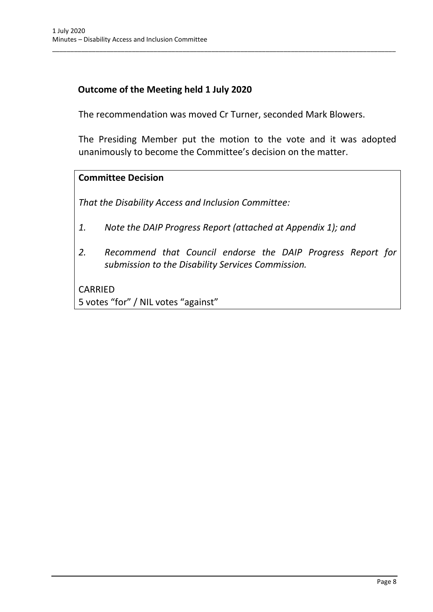## **Outcome of the Meeting held 1 July 2020**

The recommendation was moved Cr Turner, seconded Mark Blowers.

\_\_\_\_\_\_\_\_\_\_\_\_\_\_\_\_\_\_\_\_\_\_\_\_\_\_\_\_\_\_\_\_\_\_\_\_\_\_\_\_\_\_\_\_\_\_\_\_\_\_\_\_\_\_\_\_\_\_\_\_\_\_\_\_\_\_\_\_\_\_\_\_\_\_\_\_\_\_\_\_\_\_\_\_\_\_\_\_\_\_\_\_\_\_\_

The Presiding Member put the motion to the vote and it was adopted unanimously to become the Committee's decision on the matter.

### **Committee Decision**

*That the Disability Access and Inclusion Committee:*

- *1. Note the DAIP Progress Report (attached at Appendix 1); and*
- *2. Recommend that Council endorse the DAIP Progress Report for submission to the Disability Services Commission.*

CARRIED 5 votes "for" / NIL votes "against"